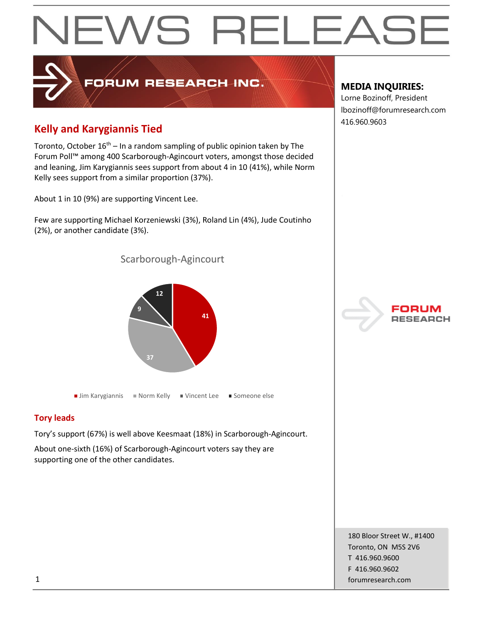# EWS RELEAS

# **Kelly and Karygiannis Tied**

Toronto, October 16<sup>th</sup> – In a random sampling of public opinion taken by The Forum Poll™ among 400 Scarborough-Agincourt voters, amongst those decided and leaning, Jim Karygiannis sees support from about 4 in 10 (41%), while Norm Kelly sees support from a similar proportion (37%).

FORUM RESEARCH INC.

About 1 in 10 (9%) are supporting Vincent Lee.

Few are supporting Michael Korzeniewski (3%), Roland Lin (4%), Jude Coutinho (2%), or another candidate (3%).

Scarborough-Agincourt



■ Jim Karygiannis ■ Norm Kelly ■ Vincent Lee ■ Someone else

## **Tory leads**

Tory's support (67%) is well above Keesmaat (18%) in Scarborough-Agincourt.

About one-sixth (16%) of Scarborough-Agincourt voters say they are supporting one of the other candidates.

## **MEDIA INQUIRIES:**

Lorne Bozinoff, President lbozinoff@forumresearch.com 416.960.9603



180 Bloor Street W., #1400 Toronto, ON M5S 2V6 T 416.960.9600 F 416.960.9602 1 forumresearch.com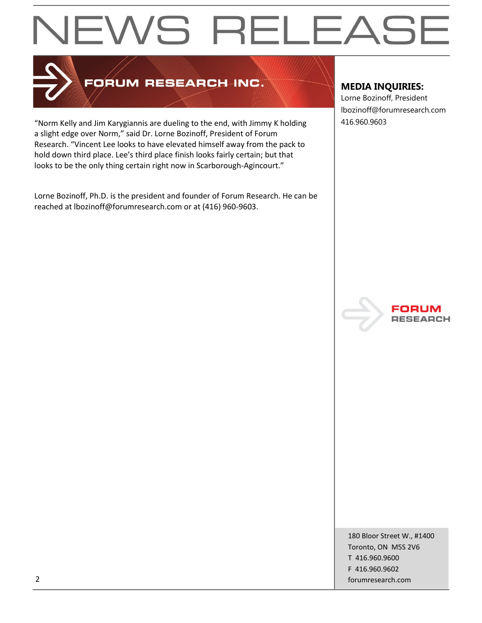# EWS RELEASE



# FORUM RESEARCH INC.

"Norm Kelly and Jim Karygiannis are dueling to the end, with Jimmy K holding  $\vert$  416.960.9603 a slight edge over Norm," said Dr. Lorne Bozinoff, President of Forum Research. "Vincent Lee looks to have elevated himself away from the pack to hold down third place. Lee's third place finish looks fairly certain; but that looks to be the only thing certain right now in Scarborough-Agincourt."

Lorne Bozinoff, Ph.D. is the president and founder of Forum Research. He can be reached at lbozinoff@forumresearch.com or at (416) 960-9603.

## **MEDIA INQUIRIES:**

Lorne Bozinoff, President lbozinoff@forumresearch.com



180 Bloor Street W., #1400 Toronto, ON M5S 2V6 T 416.960.9600 F 416.960.9602 2 forumresearch.com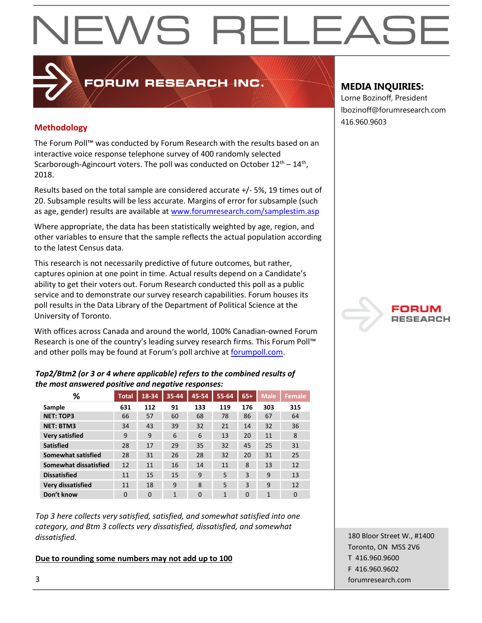# EWS RELEAS

# 416.960.9603 **Methodology**

The Forum Poll™ was conducted by Forum Research with the results based on an interactive voice response telephone survey of 400 randomly selected Scarborough-Agincourt voters. The poll was conducted on October  $12^{th} - 14^{th}$ , 2018.

**PRUM RESEARCH INC.** 

Results based on the total sample are considered accurate +/- 5%, 19 times out of 20. Subsample results will be less accurate. Margins of error for subsample (such as age, gender) results are available at [www.forumresearch.com/samplestim.asp](http://www.forumresearch.com/samplestim.asp)

Where appropriate, the data has been statistically weighted by age, region, and other variables to ensure that the sample reflects the actual population according to the latest Census data.

This research is not necessarily predictive of future outcomes, but rather, captures opinion at one point in time. Actual results depend on a Candidate's ability to get their voters out. Forum Research conducted this poll as a public service and to demonstrate our survey research capabilities. Forum houses its poll results in the Data Library of the Department of Political Science at the University of Toronto.

With offices across Canada and around the world, 100% Canadian-owned Forum Research is one of the country's leading survey research firms. This Forum Poll™ and other polls may be found at Forum's poll archive at [forumpoll.com.](file:///C:/Users/gmilakovic/Dropbox/Forum%20Poll%20Temporary/2017/November/TO/Releases/forumpoll.com)

## *Top2/Btm2 (or 3 or 4 where applicable) refers to the combined results of the most answered positive and negative responses:*

| %                     | <b>Total</b> | 18-34    | 35-44 | 45-54    | 55-64        | $65+$    | <b>Male</b> | <b>Female</b> |
|-----------------------|--------------|----------|-------|----------|--------------|----------|-------------|---------------|
| Sample                | 631          | 112      | 91    | 133      | 119          | 176      | 303         | 315           |
| <b>NET: TOP3</b>      | 66           | 57       | 60    | 68       | 78           | 86       | 67          | 64            |
| <b>NET: BTM3</b>      | 34           | 43       | 39    | 32       | 21           | 14       | 32          | 36            |
| <b>Very satisfied</b> | 9            | 9        | 6     | 6        | 13           | 20       | 11          | 8             |
| <b>Satisfied</b>      | 28           | 17       | 29    | 35       | 32           | 45       | 25          | 31            |
| Somewhat satisfied    | 28           | 31       | 26    | 28       | 32           | 20       | 31          | 25            |
| Somewhat dissatisfied | 12           | 11       | 16    | 14       | 11           | 8        | 13          | 12            |
| <b>Dissatisfied</b>   | 11           | 15       | 15    | 9        | 5            | 3        | 9           | 13            |
| Very dissatisfied     | 11           | 18       | 9     | 8        | 5            | 3        | 9           | 12            |
| Don't know            | $\Omega$     | $\Omega$ | 1     | $\Omega$ | $\mathbf{1}$ | $\Omega$ | 1           | $\Omega$      |

*Top 3 here collects very satisfied, satisfied, and somewhat satisfied into one category, and Btm 3 collects very dissatisfied, dissatisfied, and somewhat dissatisfied.* 

## **Due to rounding some numbers may not add up to 100**

## **MEDIA INQUIRIES:**

Lorne Bozinoff, President lbozinoff@forumresearch.com



180 Bloor Street W., #1400 Toronto, ON M5S 2V6 T 416.960.9600 F 416.960.9602 3 forumresearch.com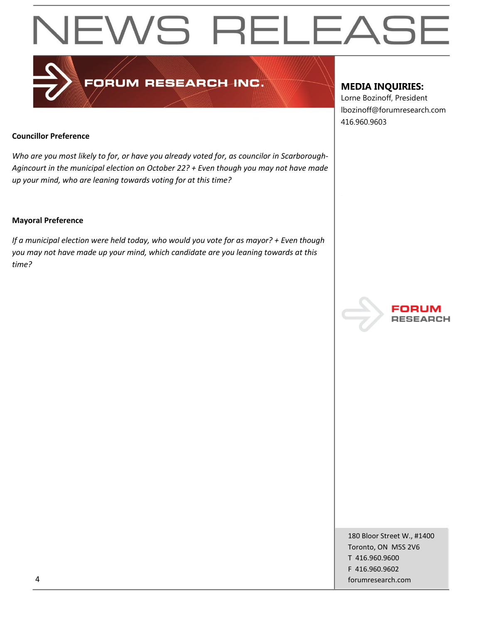# **NEWS RELEASE**

# FORUM RESEARCH INC.

# **MEDIA INQUIRIES:**

Lorne Bozinoff, President lbozinoff@forumresearch.com 416.960.9603

## **Councillor Preference**

*Who are you most likely to for, or have you already voted for, as councilor in Scarborough-Agincourt in the municipal election on October 22? + Even though you may not have made up your mind, who are leaning towards voting for at this time?*

### **Mayoral Preference**

*If a municipal election were held today, who would you vote for as mayor? + Even though you may not have made up your mind, which candidate are you leaning towards at this time?* 



180 Bloor Street W., #1400 Toronto, ON M5S 2V6 T 416.960.9600 F 416.960.9602 4 forumresearch.com